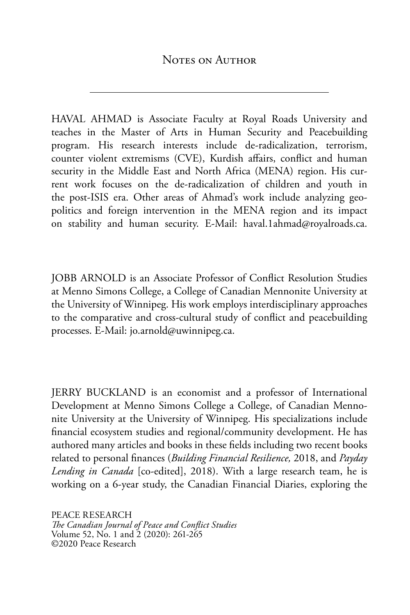HAVAL AHMAD is Associate Faculty at Royal Roads University and teaches in the Master of Arts in Human Security and Peacebuilding program. His research interests include de-radicalization, terrorism, counter violent extremisms (CVE), Kurdish affairs, conflict and human security in the Middle East and North Africa (MENA) region. His current work focuses on the de-radicalization of children and youth in the post-ISIS era. Other areas of Ahmad's work include analyzing geopolitics and foreign intervention in the MENA region and its impact on stability and human security. E-Mail: haval.1ahmad@royalroads.ca.

JOBB ARNOLD is an Associate Professor of Conflict Resolution Studies at Menno Simons College, a College of Canadian Mennonite University at the University of Winnipeg. His work employs interdisciplinary approaches to the comparative and cross-cultural study of conflict and peacebuilding processes. E-Mail: jo.arnold@uwinnipeg.ca.

JERRY BUCKLAND is an economist and a professor of International Development at Menno Simons College a College, of Canadian Mennonite University at the University of Winnipeg. His specializations include financial ecosystem studies and regional/community development. He has authored many articles and books in these fields including two recent books related to personal finances (*Building Financial Resilience,* 2018, and *Payday Lending in Canada* [co-edited], 2018). With a large research team, he is working on a 6-year study, the Canadian Financial Diaries, exploring the

PEACE RESEARCH *The Canadian Journal of Peace and Conflict Studies* Volume 52, No. 1 and 2 (2020): 261-265 ©2020 Peace Research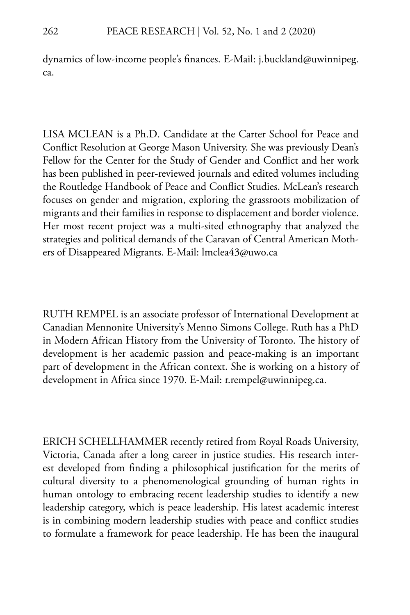dynamics of low-income people's finances. E-Mail: j.buckland@uwinnipeg. ca.

LISA MCLEAN is a Ph.D. Candidate at the Carter School for Peace and Conflict Resolution at George Mason University. She was previously Dean's Fellow for the Center for the Study of Gender and Conflict and her work has been published in peer-reviewed journals and edited volumes including the Routledge Handbook of Peace and Conflict Studies. McLean's research focuses on gender and migration, exploring the grassroots mobilization of migrants and their families in response to displacement and border violence. Her most recent project was a multi-sited ethnography that analyzed the strategies and political demands of the Caravan of Central American Mothers of Disappeared Migrants. E-Mail: lmclea43@uwo.ca

RUTH REMPEL is an associate professor of International Development at Canadian Mennonite University's Menno Simons College. Ruth has a PhD in Modern African History from the University of Toronto. The history of development is her academic passion and peace-making is an important part of development in the African context. She is working on a history of development in Africa since 1970. E-Mail: r.rempel@uwinnipeg.ca.

ERICH SCHELLHAMMER recently retired from Royal Roads University, Victoria, Canada after a long career in justice studies. His research interest developed from finding a philosophical justification for the merits of cultural diversity to a phenomenological grounding of human rights in human ontology to embracing recent leadership studies to identify a new leadership category, which is peace leadership. His latest academic interest is in combining modern leadership studies with peace and conflict studies to formulate a framework for peace leadership. He has been the inaugural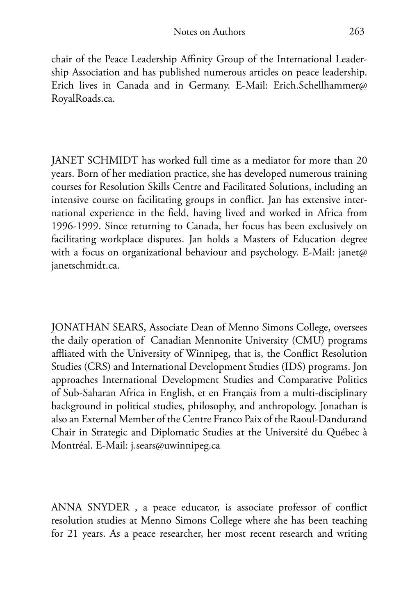chair of the Peace Leadership Affinity Group of the International Leadership Association and has published numerous articles on peace leadership. Erich lives in Canada and in Germany. E-Mail: Erich.Schellhammer@ RoyalRoads.ca.

JANET SCHMIDT has worked full time as a mediator for more than 20 years. Born of her mediation practice, she has developed numerous training courses for Resolution Skills Centre and Facilitated Solutions, including an intensive course on facilitating groups in conflict. Jan has extensive international experience in the field, having lived and worked in Africa from 1996-1999. Since returning to Canada, her focus has been exclusively on facilitating workplace disputes. Jan holds a Masters of Education degree with a focus on organizational behaviour and psychology. E-Mail: janet@ janetschmidt.ca.

JONATHAN SEARS, Associate Dean of Menno Simons College, oversees the daily operation of Canadian Mennonite University (CMU) programs affliated with the University of Winnipeg, that is, the Conflict Resolution Studies (CRS) and International Development Studies (IDS) programs. Jon approaches International Development Studies and Comparative Politics of Sub-Saharan Africa in English, et en Français from a multi-disciplinary background in political studies, philosophy, and anthropology. Jonathan is also an External Member of the Centre Franco Paix of the Raoul-Dandurand Chair in Strategic and Diplomatic Studies at the Université du Québec à Montréal. E-Mail: j.sears@uwinnipeg.ca

ANNA SNYDER , a peace educator, is associate professor of conflict resolution studies at Menno Simons College where she has been teaching for 21 years. As a peace researcher, her most recent research and writing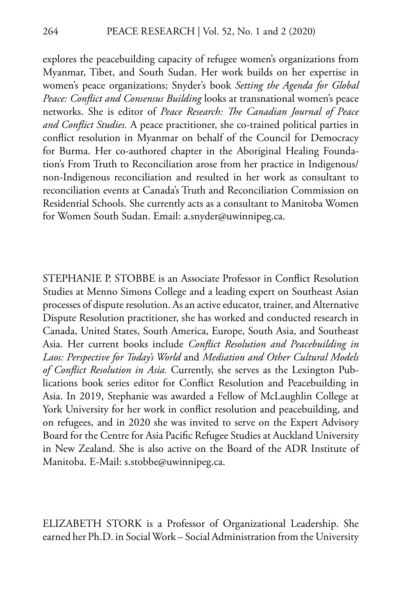explores the peacebuilding capacity of refugee women's organizations from Myanmar, Tibet, and South Sudan. Her work builds on her expertise in women's peace organizations; Snyder's book *Setting the Agenda for Global Peace: Conflict and Consensus Building* looks at transnational women's peace networks. She is editor of *Peace Research: The Canadian Journal of Peace and Conflict Studies.* A peace practitioner, she co-trained political parties in conflict resolution in Myanmar on behalf of the Council for Democracy for Burma. Her co-authored chapter in the Aboriginal Healing Foundation's From Truth to Reconciliation arose from her practice in Indigenous/ non-Indigenous reconciliation and resulted in her work as consultant to reconciliation events at Canada's Truth and Reconciliation Commission on Residential Schools. She currently acts as a consultant to Manitoba Women for Women South Sudan. Email: a.snyder@uwinnipeg.ca.

STEPHANIE P. STOBBE is an Associate Professor in Conflict Resolution Studies at Menno Simons College and a leading expert on Southeast Asian processes of dispute resolution. As an active educator, trainer, and Alternative Dispute Resolution practitioner, she has worked and conducted research in Canada, United States, South America, Europe, South Asia, and Southeast Asia. Her current books include *Conflict Resolution and Peacebuilding in Laos: Perspective for Today's World* and *Mediation and Other Cultural Models of Conflict Resolution in Asia.* Currently, she serves as the Lexington Publications book series editor for Conflict Resolution and Peacebuilding in Asia. In 2019, Stephanie was awarded a Fellow of McLaughlin College at York University for her work in conflict resolution and peacebuilding, and on refugees, and in 2020 she was invited to serve on the Expert Advisory Board for the Centre for Asia Pacific Refugee Studies at Auckland University in New Zealand. She is also active on the Board of the ADR Institute of Manitoba. E-Mail: s.stobbe@uwinnipeg.ca.

ELIZABETH STORK is a Professor of Organizational Leadership. She earned her Ph.D. in Social Work – Social Administration from the University